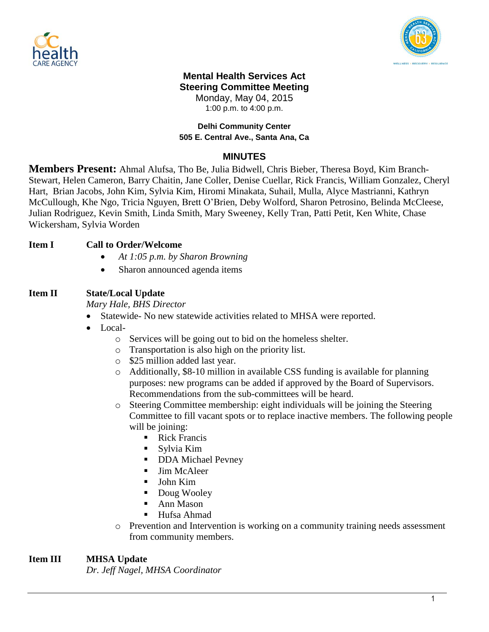



#### **Mental Health Services Act Steering Committee Meeting** Monday, May 04, 2015

1:00 p.m. to 4:00 p.m.

#### **Delhi Community Center 505 E. Central Ave., Santa Ana, Ca**

## **MINUTES**

**Members Present:** Ahmal Alufsa, Tho Be, Julia Bidwell, Chris Bieber, Theresa Boyd, Kim Branch-Stewart, Helen Cameron, Barry Chaitin, Jane Coller, Denise Cuellar, Rick Francis, William Gonzalez, Cheryl Hart, Brian Jacobs, John Kim, Sylvia Kim, Hiromi Minakata, Suhail, Mulla, Alyce Mastrianni, Kathryn McCullough, Khe Ngo, Tricia Nguyen, Brett O'Brien, Deby Wolford, Sharon Petrosino, Belinda McCleese, Julian Rodriguez, Kevin Smith, Linda Smith, Mary Sweeney, Kelly Tran, Patti Petit, Ken White, Chase Wickersham, Sylvia Worden

### **Item I Call to Order/Welcome**

- *At 1:05 p.m. by Sharon Browning*
- Sharon announced agenda items

# **Item II State/Local Update**

*Mary Hale, BHS Director*

- Statewide- No new statewide activities related to MHSA were reported.
- Local
	- o Services will be going out to bid on the homeless shelter.
	- o Transportation is also high on the priority list.
	- o \$25 million added last year.
	- o Additionally, \$8-10 million in available CSS funding is available for planning purposes: new programs can be added if approved by the Board of Supervisors. Recommendations from the sub-committees will be heard.
	- o Steering Committee membership: eight individuals will be joining the Steering Committee to fill vacant spots or to replace inactive members. The following people will be joining:
		- Rick Francis
		- Sylvia Kim
		- DDA Michael Pevney
		- **Jim McAleer**
		- John Kim
		- Doug Wooley
		- Ann Mason
		- Hufsa Ahmad
	- o Prevention and Intervention is working on a community training needs assessment from community members.

# **Item III MHSA Update**

*Dr. Jeff Nagel, MHSA Coordinator*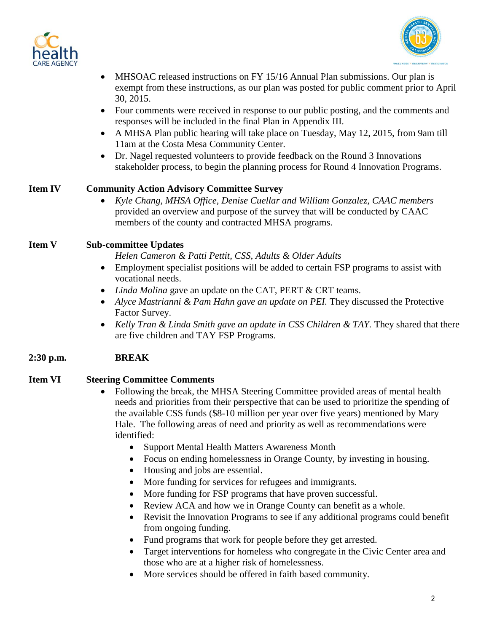



- MHSOAC released instructions on FY 15/16 Annual Plan submissions. Our plan is exempt from these instructions, as our plan was posted for public comment prior to April 30, 2015.
- Four comments were received in response to our public posting, and the comments and responses will be included in the final Plan in Appendix III.
- A MHSA Plan public hearing will take place on Tuesday, May 12, 2015, from 9am till 11am at the Costa Mesa Community Center.
- Dr. Nagel requested volunteers to provide feedback on the Round 3 Innovations stakeholder process, to begin the planning process for Round 4 Innovation Programs.

### **Item IV Community Action Advisory Committee Survey**

 *Kyle Chang, MHSA Office, Denise Cuellar and William Gonzalez, CAAC members* provided an overview and purpose of the survey that will be conducted by CAAC members of the county and contracted MHSA programs.

### **Item V Sub-committee Updates**

*Helen Cameron & Patti Pettit, CSS, Adults & Older Adults*

- Employment specialist positions will be added to certain FSP programs to assist with vocational needs.
- *Linda Molina* gave an update on the CAT, PERT & CRT teams.
- Alyce Mastrianni & Pam Hahn gave an update on PEI. They discussed the Protective Factor Survey.
- *Kelly Tran & Linda Smith gave an update in CSS Children & TAY.* They shared that there are five children and TAY FSP Programs.

### **2:30 p.m. BREAK**

#### **Item VI Steering Committee Comments**

- Following the break, the MHSA Steering Committee provided areas of mental health needs and priorities from their perspective that can be used to prioritize the spending of the available CSS funds (\$8-10 million per year over five years) mentioned by Mary Hale. The following areas of need and priority as well as recommendations were identified:
	- Support Mental Health Matters Awareness Month
	- Focus on ending homelessness in Orange County, by investing in housing.
	- Housing and jobs are essential.
	- More funding for services for refugees and immigrants.
	- More funding for FSP programs that have proven successful.
	- Review ACA and how we in Orange County can benefit as a whole.
	- Revisit the Innovation Programs to see if any additional programs could benefit from ongoing funding.
	- Fund programs that work for people before they get arrested.
	- Target interventions for homeless who congregate in the Civic Center area and those who are at a higher risk of homelessness.
	- More services should be offered in faith based community.